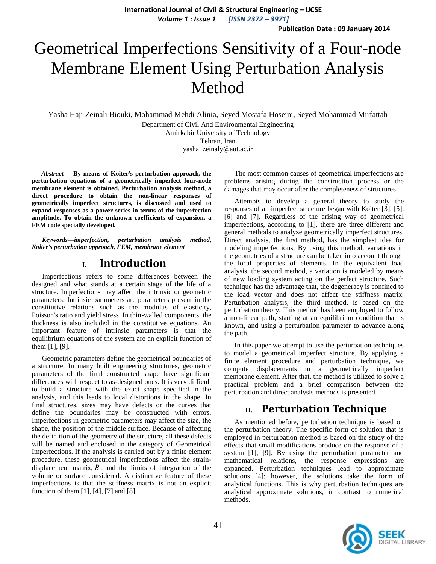**International Journal of Civil & Structural Engineering – IJCSE** *Volume 1 : Issue 1 [ISSN 2372 – 3971]*

**Publication Date : 09 January 2014**

# Geometrical Imperfections Sensitivity of a Four-node Membrane Element Using Perturbation Analysis Method

Yasha Haji Zeinali Biouki, Mohammad Mehdi Alinia, Seyed Mostafa Hoseini, Seyed Mohammad Mirfattah

Department of Civil And Environmental Engineering Amirkabir University of Technology Tehran, Iran yasha\_zeinaly@aut.ac.ir

*Abstract***— By means of Koiter's perturbation approach, the perturbation equations of a geometrically imperfect four-node membrane element is obtained. Perturbation analysis method, a direct procedure to obtain the non-linear responses of geometrically imperfect structures, is discussed and used to expand responses as a power series in terms of the imperfection amplitude. To obtain the unknown coefficients of expansion, a FEM code specially developed.**

*Keywords—imperfection, perturbation analysis method, Koiter's perturbation approach, FEM, membrane element*

# **I. Introduction**

Imperfections refers to some differences between the designed and what stands at a certain stage of the life of a structure. Imperfections may affect the intrinsic or geometric parameters. Intrinsic parameters are parameters present in the constitutive relations such as the modulus of elasticity, Poisson's ratio and yield stress. In thin-walled components, the thickness is also included in the constitutive equations. An Important feature of intrinsic parameters is that the equilibrium equations of the system are an explicit function of them [1], [9].

Geometric parameters define the geometrical boundaries of a structure. In many built engineering structures, geometric parameters of the final constructed shape have significant differences with respect to as-designed ones. It is very difficult to build a structure with the exact shape specified in the analysis, and this leads to local distortions in the shape. In final structures, sizes may have defects or the curves that define the boundaries may be constructed with errors. Imperfections in geometric parameters may affect the size, the shape, the position of the middle surface. Because of affecting the definition of the geometry of the structure, all these defects will be named and enclosed in the category of Geometrical Imperfections. If the analysis is carried out by a finite element procedure, these geometrical imperfections affect the straindisplacement matrix,  $\tilde{B}$ , and the limits of integration of the volume or surface considered. A distinctive feature of these imperfections is that the stiffness matrix is not an explicit function of them [1], [4], [7] and [8].

The most common causes of geometrical imperfections are problems arising during the construction process or the damages that may occur after the completeness of structures.

Attempts to develop a general theory to study the responses of an imperfect structure began with Koiter [3], [5], [6] and [7]. Regardless of the arising way of geometrical imperfections, according to [1], there are three different and general methods to analyze geometrically imperfect structures. Direct analysis, the first method, has the simplest idea for modeling imperfections. By using this method, variations in the geometries of a structure can be taken into account through the local properties of elements. In the equivalent load analysis, the second method, a variation is modeled by means of new loading system acting on the perfect structure. Such technique has the advantage that, the degeneracy is confined to the load vector and does not affect the stiffness matrix. Perturbation analysis, the third method, is based on the perturbation theory. This method has been employed to follow a non-linear path, starting at an equilibrium condition that is known, and using a perturbation parameter to advance along the path.

In this paper we attempt to use the perturbation techniques to model a geometrical imperfect structure. By applying a finite element procedure and perturbation technique, we compute displacements in a geometrically imperfect membrane element. After that, the method is utilized to solve a practical problem and a brief comparison between the perturbation and direct analysis methods is presented.

# **II. Perturbation Technique**

As mentioned before, perturbation technique is based on the perturbation theory. The specific form of solution that is employed in perturbation method is based on the study of the effects that small modifications produce on the response of a system [1], [9]. By using the perturbation parameter and mathematical relations, the response expressions are expanded. Perturbation techniques lead to approximate solutions [4]; however, the solutions take the form of analytical functions. This is why perturbation techniques are analytical approximate solutions, in contrast to numerical methods.

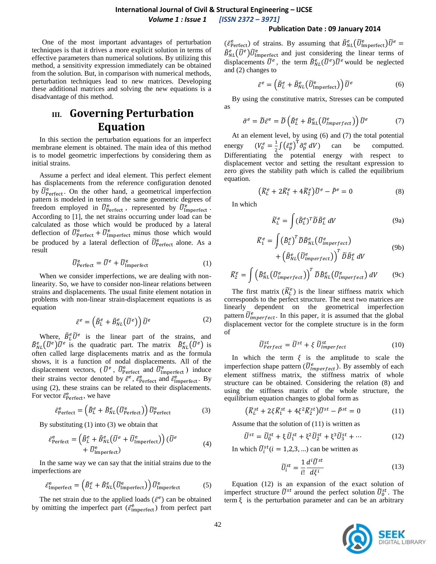### **International Journal of Civil & Structural Engineering – IJCSE** *Volume 1 : Issue 1 [ISSN 2372 – 3971]*

#### **Publication Date : 09 January 2014**

One of the most important advantages of perturbation techniques is that it drives a more explicit solution in terms of effective parameters than numerical solutions. By utilizing this method, a sensitivity expression immediately can be obtained from the solution. But, in comparison with numerical methods, perturbation techniques lead to new matrices. Developing these additional matrices and solving the new equations is a disadvantage of this method.

# **III. Governing Perturbation Equation**

In this section the perturbation equations for an imperfect membrane element is obtained. The main idea of this method is to model geometric imperfections by considering them as initial strains.

Assume a perfect and ideal element. This perfect element has displacements from the reference configuration denoted by  $\tilde{U}_{\text{Perfect}}^{\text{e}}$ . On the other hand, a geometrical imperfection pattern is modeled in terms of the same geometric degrees of freedom employed in  $\tilde{U}_{\text{Perfect}}^{\text{e}}$ , represented by  $\tilde{U}_{\text{Imperfect}}^{\text{e}}$ . According to [1], the net strains occurring under load can be calculated as those which would be produced by a lateral deflection of  $\tilde{U}_{\text{Perfect}}^{\text{e}} + \tilde{U}_{\text{Imperfect}}^{\text{e}}$  minus those which would be produced by a lateral deflection of  $\tilde{U}_{\text{Perfect}}^{\text{e}}$  alone. As a result

$$
\widetilde{U}_{\text{Perfect}}^{\text{e}} = \widetilde{U}^e + \widetilde{U}_{\text{Imperfect}}^{\text{e}} \tag{1}
$$

When we consider imperfections, we are dealing with nonlinearity. So, we have to consider non-linear relations between strains and displacements. The usual finite element notation in problems with non-linear strain-displacement equations is as equation

$$
\tilde{\varepsilon}^e = \left(\tilde{B}_L^e + \tilde{B}_{NL}^e(\tilde{U}^e)\right)\tilde{U}^e
$$
 (2)

Where,  $\tilde{B}_L^e \tilde{U}^e$  is the linear part of the strains, and  $\tilde{B}_{NL}^{e}(\tilde{U}^{e})\tilde{U}^{e}$  is the quadratic part. The matrix  $\tilde{B}_{NL}^{e}(\tilde{U}^{e})$  is often called large displacements matrix and as the formula shows, it is a function of nodal displacements. All of the displacement vectors, ( $\tilde{U}^e$ ,  $\tilde{U}^e$  and  $\tilde{U}^e$  and  $\tilde{U}^e$  induce their strains vector denoted by  $\tilde{\varepsilon}^e$ ,  $\tilde{\varepsilon}_{\text{Perfect}}^e$  and  $\tilde{\varepsilon}_{\text{Imperfect}}^e$ . By using (2), these strains can be related to their displacements. For vector  $\tilde{\varepsilon}_{\text{Perfect}}^e$ , we have

$$
\tilde{\varepsilon}_{\text{Perfect}}^{\text{e}} = \left(\tilde{B}_{L}^{\text{e}} + \tilde{B}_{NL}^{\text{e}}(\tilde{U}_{\text{Perfect}}^{\text{e}})\right)\tilde{U}_{\text{Perfect}}^{\text{e}}\tag{3}
$$

By substituting (1) into (3) we obtain that

$$
\tilde{\varepsilon}_{\text{Perfect}}^e = \left(\tilde{B}_L^e + \tilde{B}_{NL}^e (\tilde{U}^e + \tilde{U}_{\text{Imperfect}}^e)\right) (\tilde{U}^e + \tilde{U}_{\text{Imperfect}}^e)
$$
\n(4)

In the same way we can say that the initial strains due to the imperfections are

$$
\tilde{\varepsilon}_{\text{Imperfect}}^{\text{e}} = \left(\tilde{B}_{L}^e + \tilde{B}_{NL}^e(\tilde{U}_{\text{Imperfect}}^{\text{e}})\right)\tilde{U}_{\text{Imperfect}}^{\text{e}} \tag{5}
$$

The net strain due to the applied loads  $(\tilde{\varepsilon}^e)$  can be obtained by omitting the imperfect part ( $\tilde{\epsilon}_{\text{imperfect}}^{\text{e}}$ ) from perfect part

 $(\tilde{\varepsilon}^e_{\text{Perfect}})$  of strains. By assuming that  $\tilde{B}_{NL}^e(\tilde{U}_{\text{Imperfect}}^e)\tilde{U}^e$  $\tilde{B}_{NL}^{e}(\tilde{U}^{e})\tilde{U}_{\text{Imperfect}}^{e}$  and just considering the linear terms of displacements  $\tilde{U}^e$ , the term  $\tilde{B}_{NL}^e(\tilde{U}^e)\tilde{U}^e$  would be neglected and (2) changes to

$$
\tilde{\varepsilon}^e = \left(\tilde{B}_L^e + \tilde{B}_{NL}^e(\tilde{U}_{\text{Imperfect}}^e)\right)\tilde{U}^e
$$
 (6)

By using the constitutive matrix, Stresses can be computed as

$$
\tilde{\sigma}^e = \tilde{D}\tilde{\varepsilon}^e = \tilde{D}\left(\tilde{B}_L^e + \tilde{B}_{NL}^e(\tilde{U}_{Imperfect}^e)\right)\tilde{U}^e
$$
\n(7)

At an element level, by using (6) and (7) the total potential energy  $e = \frac{1}{2}$  $\frac{1}{2} \int (\tilde{\varepsilon}_p^e)^{\tilde{T}} \tilde{\sigma}_p^e dV$  can be computted. Differentiating the potential energy with respect to displacement vector and setting the resultant expression to zero gives the stability path which is called the equilibrium equation.

$$
\left(\widetilde{K}_L^e + 2\widetilde{K}_1^e + 4\widetilde{K}_2^e\right)\widetilde{U}^e - \widetilde{P}^e = 0\tag{8}
$$

In which

$$
\widetilde{K}_L^e = \int (\widetilde{B}_L^e)^T \widetilde{D} \widetilde{B}_L^e \, dV \tag{9a}
$$

$$
\widetilde{K}_{1}^{e} = \int (\widetilde{B}_{L}^{e})^{T} \widetilde{D} \widetilde{B}_{NL}^{e} (\widetilde{U}_{imperfect}^{e}) + \left(\widetilde{B}_{NL}^{e} (\widetilde{U}_{imperfect}^{e})\right)^{T} \widetilde{D} \widetilde{B}_{L}^{e} dV
$$
\n(9b)

$$
\widetilde{K}_{2}^{e} = \int \left( \widetilde{B}_{NL}^{e} \left( \widetilde{U}_{imperfect}^{e} \right) \right)^{T} \widetilde{D} \widetilde{B}_{NL}^{e} \left( \widetilde{U}_{imperfect}^{e} \right) dV \tag{9c}
$$

The first matrix  $(\widetilde{K}_L^e)$  is the linear stiffness matrix which corresponds to the perfect structure. The next two matrices are linearly dependent on the geometrical imperfection pattern  $\tilde{U}^e_{imperfect}$ . In this paper, it is assumed that the global displacement vector for the complete structure is in the form of

$$
\widetilde{U}_{Perfect}^{st} = \widetilde{U}^{st} + \xi \ \widetilde{U}_{Imperfect}^{st} \tag{10}
$$

In which the term  $\xi$  is the amplitude to scale the imperfection shape pattern  $(\tilde{U}_{Imperfect}^e)$ . By assembly of each element stiffness matrix, the stiffness matrix of whole structure can be obtained. Considering the relation (8) and using the stiffness matrix of the whole structure, the equilibrium equation changes to global form as

$$
\left(\widetilde{K}_L^{st} + 2\xi \widetilde{K}_1^{st} + 4\xi^2 \widetilde{K}_2^{st}\right)\widetilde{U}^{st} - \widetilde{P}^{st} = 0\tag{11}
$$

Assume that the solution of (11) is written as

$$
\widetilde{U}^{st} = \widetilde{U}_0^{st} + \xi \widetilde{U}_1^{st} + \xi^2 \widetilde{U}_2^{st} + \xi^3 \widetilde{U}_3^{st} + \dots \tag{12}
$$

In which  $\tilde{U}_i^{st}$  ( $i = 1,2,3,...$ ) can be written as

$$
\widetilde{U}_i^{st} = \frac{1}{i!} \frac{d^i \widetilde{U}^{st}}{d\xi^i} \tag{13}
$$

Equation (12) is an expansion of the exact solution of imperfect structure  $\tilde{U}^{st}$  around the perfect solution  $\tilde{U}_{0}^{st}$ . The term  $\xi$  is the perturbation parameter and can be an arbitrary

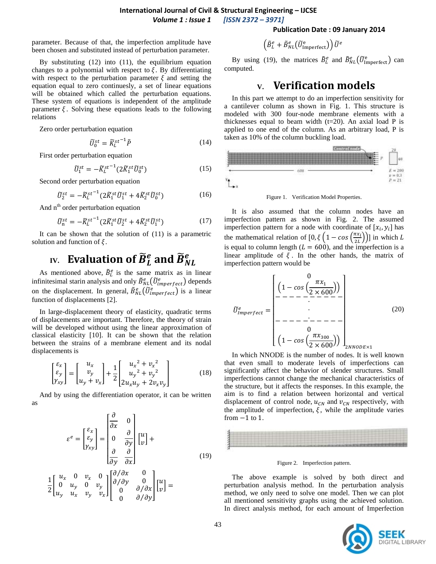parameter. Because of that, the imperfection amplitude have been chosen and substituted instead of perturbation parameter.

By substituting  $(12)$  into  $(11)$ , the equilibrium equation changes to a polynomial with respect to  $\xi$ . By differentiating with respect to the perturbation parameter  $\xi$  and setting the equation equal to zero continuesly, a set of linear equations will be obtained which called the perturbation equations. These system of equations is independent of the amplitude parameter  $\xi$ . Solving these equations leads to the following relations

Zero order perturbation equation

$$
\widetilde{U}_0^{st} = \widetilde{K}_L^{st^{-1}} \widetilde{P}
$$
\n<sup>(14)</sup>

First order perturbation equation

$$
\widetilde{U}_1^{st} = -\widetilde{K}_L^{st^{-1}} (2\widetilde{K}_1^{st} \widetilde{U}_0^{st})
$$
\n<sup>(15)</sup>

Second order perturbation equation

$$
\widetilde{U}_2^{st} = -\widetilde{K}_L^{st^{-1}} (2\widetilde{K}_1^{st}\widetilde{U}_1^{st} + 4\widetilde{K}_2^{st}\widetilde{U}_0^{st})
$$
\n(16)

And  $n<sup>th</sup>$  order perturbation equation

$$
\widetilde{U}_{n}^{st} = -\widetilde{K}_{L}^{st-1} (2\widetilde{K}_{1}^{st}\widetilde{U}_{2}^{st} + 4\widetilde{K}_{2}^{st}\widetilde{U}_{1}^{st})
$$
\n(17)

It can be shown that the solution of (11) is a parametric solution and function of  $\xi$ .

### **IV.** Evaluation of  $\widetilde{B}_L^e$  and  $\widetilde{B}_N^e$ e

As mentioned above,  $\tilde{B}_L^e$  is the same matrix as in linear infinitesimal starin analysis and only  $\tilde{B}_{NL}^e(\tilde{U}_{imperfect}^e)$  depends on the displacement. In general,  $\tilde{B}_{NL}^e(\tilde{U}_{imperfect}^e)$  is a linear function of displacements [2].

In large-displacement theory of elasticity, quadratic terms of displacements are important. Therefore, the theory of strain will be developed without using the linear approximation of classical elasticity [10]. It can be shown that the relation between the strains of a membrane element and its nodal displacements is

$$
\begin{bmatrix} \varepsilon_x \\ \varepsilon_y \\ \gamma_{xy} \end{bmatrix} = \begin{bmatrix} u_x \\ v_y \\ u_y + v_x \end{bmatrix} + \frac{1}{2} \begin{bmatrix} u_x^2 + v_x^2 \\ u_y^2 + v_y^2 \\ 2u_xu_y + 2v_xv_y \end{bmatrix}
$$
(18)

And by using the differentiation operator, it can be written as

$$
\varepsilon^{e} = \begin{bmatrix} \varepsilon_{x} \\ \varepsilon_{y} \\ \gamma_{xy} \end{bmatrix} = \begin{bmatrix} \frac{\partial}{\partial x} & 0 \\ 0 & \frac{\partial}{\partial y} \\ \frac{\partial}{\partial y} & \frac{\partial}{\partial x} \end{bmatrix} \begin{bmatrix} u \\ v \end{bmatrix} +
$$
  

$$
\frac{1}{2} \begin{bmatrix} u_{x} & 0 & v_{x} & 0 \\ 0 & u_{y} & 0 & v_{y} \\ u_{y} & u_{x} & v_{y} & v_{x} \end{bmatrix} \begin{bmatrix} \frac{\partial}{\partial x} & 0 & 0 \\ 0 & \frac{\partial}{\partial y} & 0 \\ 0 & \frac{\partial}{\partial x} & v_{y} \end{bmatrix} \begin{bmatrix} u \\ v \end{bmatrix} =
$$
 (19)

#### **Publication Date : 09 January 2014**

$$
\left(\tilde{B}^e_L+\tilde{B}^e_{NL}\big(\widetilde{U}^{\rm e}_{\rm Imperfect}\big)\right)\widetilde{U}^e
$$

By using (19), the matrices  $\tilde{B}_L^e$  and  $\tilde{B}_{NL}^e(\tilde{U}_{\text{Imperfect}}^e)$  can computed.

## **V. Verification models**

In this part we attempt to do an imperfection sensitivity for a cantilever column as shown in Fig. 1. This structure is modeled with 300 four-node membrane elements with a thicknesses equal to beam width  $(t=20)$ . An axial load P is applied to one end of the column. As an arbitrary load, P is taken as 10% of the column buckling load.



Figure 1. Verification Model Properties.

It is also assumed that the column nodes have an imperfection pattern as shown in Fig. 2. The assumed imperfection pattern for a node with coordinate of  $[x_i, y_i]$  has the mathematical relation of  $[0, \xi(1 - \cos(\frac{\pi}{a}))]$  $\left(\frac{dx_i}{2L}\right))$  in which is equal to column length ( $L = 600$ ), and the imperfection is a linear amplitude of  $\xi$ . In the other hands, the matrix of imperfection pattern would be

 ̃ [ ( ( )) ( ( )) ] (20)

In which NNODE is the number of nodes. It is well known that even small to moderate levels of imperfections can significantly affect the behavior of slender structures. Small imperfections cannot change the mechanical characteristics of the structure, but it affects the responses. In this example, the aim is to find a relation between horizontal and vertical displacement of control node,  $u_{CN}$  and  $v_{CN}$  respectively, with the amplitude of imperfection,  $\xi$ , while the amplitude varies from  $-1$  to 1.



Figure 2. Imperfection pattern.

The above example is solved by both direct and perturbation analysis method. In the perturbation analysis method, we only need to solve one model. Then we can plot all mentioned sensitivity graphs using the achieved solution. In direct analysis method, for each amount of Imperfection